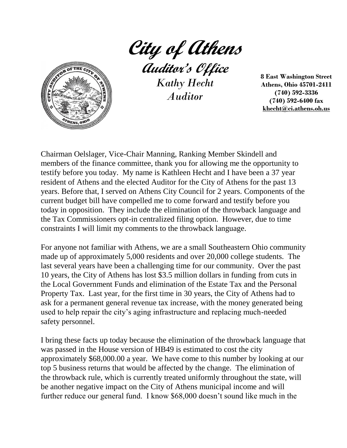

**City of Athens**

**Auditor's Office** *Kathy Hecht Auditor*

**8 East Washington Street Athens, Ohio 45701-2411 (740) 592-3336 (740) 592-6400 fax khecht@ci.athens.oh.us**

Chairman Oelslager, Vice-Chair Manning, Ranking Member Skindell and members of the finance committee, thank you for allowing me the opportunity to testify before you today. My name is Kathleen Hecht and I have been a 37 year resident of Athens and the elected Auditor for the City of Athens for the past 13 years. Before that, I served on Athens City Council for 2 years. Components of the current budget bill have compelled me to come forward and testify before you today in opposition. They include the elimination of the throwback language and the Tax Commissioners opt-in centralized filing option. However, due to time constraints I will limit my comments to the throwback language.

For anyone not familiar with Athens, we are a small Southeastern Ohio community made up of approximately 5,000 residents and over 20,000 college students. The last several years have been a challenging time for our community. Over the past 10 years, the City of Athens has lost \$3.5 million dollars in funding from cuts in the Local Government Funds and elimination of the Estate Tax and the Personal Property Tax. Last year, for the first time in 30 years, the City of Athens had to ask for a permanent general revenue tax increase, with the money generated being used to help repair the city's aging infrastructure and replacing much-needed safety personnel.

I bring these facts up today because the elimination of the throwback language that was passed in the House version of HB49 is estimated to cost the city approximately \$68,000.00 a year. We have come to this number by looking at our top 5 business returns that would be affected by the change. The elimination of the throwback rule, which is currently treated uniformly throughout the state, will be another negative impact on the City of Athens municipal income and will further reduce our general fund. I know \$68,000 doesn't sound like much in the